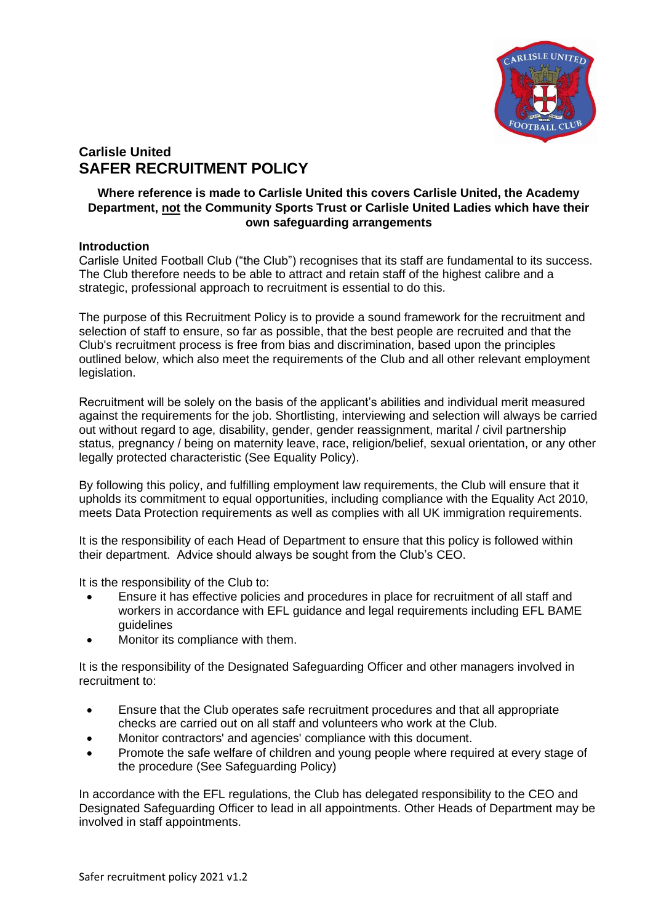

# **Carlisle United SAFER RECRUITMENT POLICY**

# **Where reference is made to Carlisle United this covers Carlisle United, the Academy Department, not the Community Sports Trust or Carlisle United Ladies which have their own safeguarding arrangements**

#### **Introduction**

Carlisle United Football Club ("the Club") recognises that its staff are fundamental to its success. The Club therefore needs to be able to attract and retain staff of the highest calibre and a strategic, professional approach to recruitment is essential to do this.

The purpose of this Recruitment Policy is to provide a sound framework for the recruitment and selection of staff to ensure, so far as possible, that the best people are recruited and that the Club's recruitment process is free from bias and discrimination, based upon the principles outlined below, which also meet the requirements of the Club and all other relevant employment legislation.

Recruitment will be solely on the basis of the applicant's abilities and individual merit measured against the requirements for the job. Shortlisting, interviewing and selection will always be carried out without regard to age, disability, gender, gender reassignment, marital / civil partnership status, pregnancy / being on maternity leave, race, religion/belief, sexual orientation, or any other legally protected characteristic (See Equality Policy).

By following this policy, and fulfilling employment law requirements, the Club will ensure that it upholds its commitment to equal opportunities, including compliance with the Equality Act 2010, meets Data Protection requirements as well as complies with all UK immigration requirements.

It is the responsibility of each Head of Department to ensure that this policy is followed within their department. Advice should always be sought from the Club's CEO.

It is the responsibility of the Club to:

- Ensure it has effective policies and procedures in place for recruitment of all staff and workers in accordance with EFL guidance and legal requirements including EFL BAME guidelines
- Monitor its compliance with them.

It is the responsibility of the Designated Safeguarding Officer and other managers involved in recruitment to:

- Ensure that the Club operates safe recruitment procedures and that all appropriate checks are carried out on all staff and volunteers who work at the Club.
- Monitor contractors' and agencies' compliance with this document.
- Promote the safe welfare of children and young people where required at every stage of the procedure (See Safeguarding Policy)

In accordance with the EFL regulations, the Club has delegated responsibility to the CEO and Designated Safeguarding Officer to lead in all appointments. Other Heads of Department may be involved in staff appointments.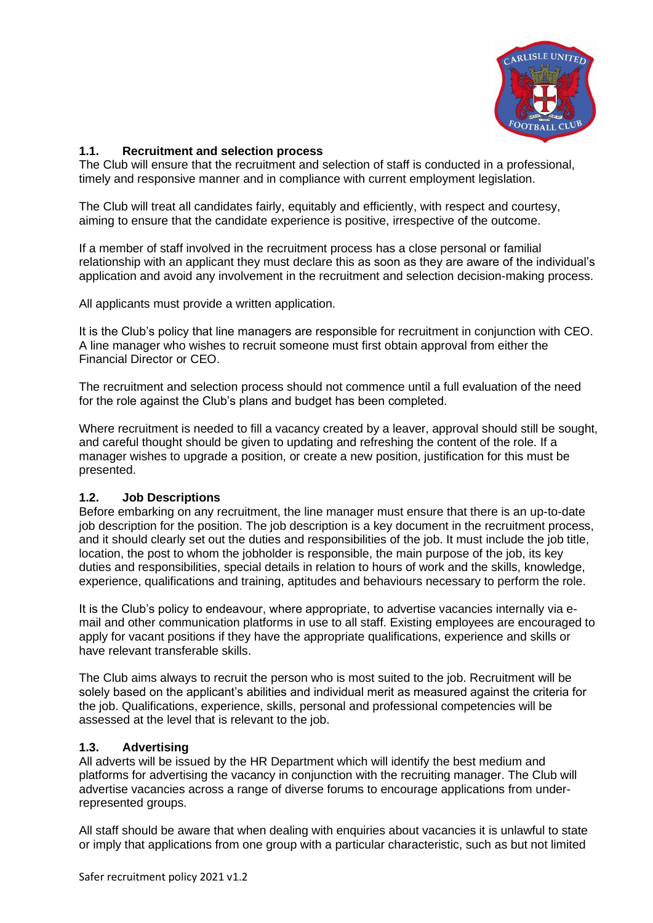

## **1.1. Recruitment and selection process**

The Club will ensure that the recruitment and selection of staff is conducted in a professional, timely and responsive manner and in compliance with current employment legislation.

The Club will treat all candidates fairly, equitably and efficiently, with respect and courtesy, aiming to ensure that the candidate experience is positive, irrespective of the outcome.

If a member of staff involved in the recruitment process has a close personal or familial relationship with an applicant they must declare this as soon as they are aware of the individual's application and avoid any involvement in the recruitment and selection decision-making process.

All applicants must provide a written application.

It is the Club's policy that line managers are responsible for recruitment in conjunction with CEO. A line manager who wishes to recruit someone must first obtain approval from either the Financial Director or CEO.

The recruitment and selection process should not commence until a full evaluation of the need for the role against the Club's plans and budget has been completed.

Where recruitment is needed to fill a vacancy created by a leaver, approval should still be sought, and careful thought should be given to updating and refreshing the content of the role. If a manager wishes to upgrade a position, or create a new position, justification for this must be presented.

## **1.2. Job Descriptions**

Before embarking on any recruitment, the line manager must ensure that there is an up-to-date job description for the position. The job description is a key document in the recruitment process, and it should clearly set out the duties and responsibilities of the job. It must include the job title, location, the post to whom the jobholder is responsible, the main purpose of the job, its key duties and responsibilities, special details in relation to hours of work and the skills, knowledge, experience, qualifications and training, aptitudes and behaviours necessary to perform the role.

It is the Club's policy to endeavour, where appropriate, to advertise vacancies internally via email and other communication platforms in use to all staff. Existing employees are encouraged to apply for vacant positions if they have the appropriate qualifications, experience and skills or have relevant transferable skills.

The Club aims always to recruit the person who is most suited to the job. Recruitment will be solely based on the applicant's abilities and individual merit as measured against the criteria for the job. Qualifications, experience, skills, personal and professional competencies will be assessed at the level that is relevant to the job.

## **1.3. Advertising**

All adverts will be issued by the HR Department which will identify the best medium and platforms for advertising the vacancy in conjunction with the recruiting manager. The Club will advertise vacancies across a range of diverse forums to encourage applications from underrepresented groups.

All staff should be aware that when dealing with enquiries about vacancies it is unlawful to state or imply that applications from one group with a particular characteristic, such as but not limited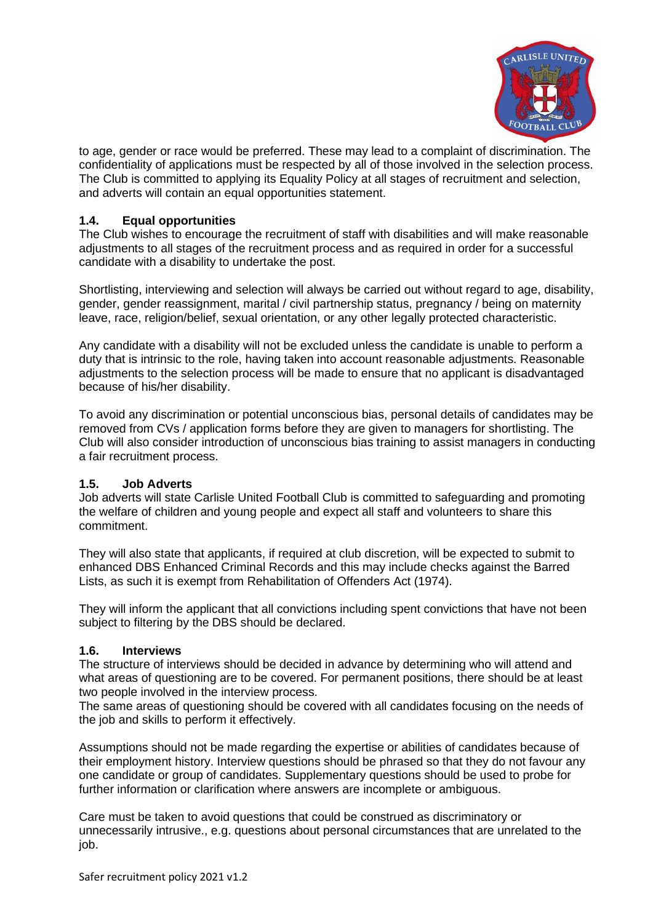

to age, gender or race would be preferred. These may lead to a complaint of discrimination. The confidentiality of applications must be respected by all of those involved in the selection process. The Club is committed to applying its Equality Policy at all stages of recruitment and selection, and adverts will contain an equal opportunities statement.

# **1.4. Equal opportunities**

The Club wishes to encourage the recruitment of staff with disabilities and will make reasonable adjustments to all stages of the recruitment process and as required in order for a successful candidate with a disability to undertake the post.

Shortlisting, interviewing and selection will always be carried out without regard to age, disability, gender, gender reassignment, marital / civil partnership status, pregnancy / being on maternity leave, race, religion/belief, sexual orientation, or any other legally protected characteristic.

Any candidate with a disability will not be excluded unless the candidate is unable to perform a duty that is intrinsic to the role, having taken into account reasonable adjustments. Reasonable adjustments to the selection process will be made to ensure that no applicant is disadvantaged because of his/her disability.

To avoid any discrimination or potential unconscious bias, personal details of candidates may be removed from CVs / application forms before they are given to managers for shortlisting. The Club will also consider introduction of unconscious bias training to assist managers in conducting a fair recruitment process.

## **1.5. Job Adverts**

Job adverts will state Carlisle United Football Club is committed to safeguarding and promoting the welfare of children and young people and expect all staff and volunteers to share this commitment.

They will also state that applicants, if required at club discretion, will be expected to submit to enhanced DBS Enhanced Criminal Records and this may include checks against the Barred Lists, as such it is exempt from Rehabilitation of Offenders Act (1974).

They will inform the applicant that all convictions including spent convictions that have not been subject to filtering by the DBS should be declared.

## **1.6. Interviews**

The structure of interviews should be decided in advance by determining who will attend and what areas of questioning are to be covered. For permanent positions, there should be at least two people involved in the interview process.

The same areas of questioning should be covered with all candidates focusing on the needs of the job and skills to perform it effectively.

Assumptions should not be made regarding the expertise or abilities of candidates because of their employment history. Interview questions should be phrased so that they do not favour any one candidate or group of candidates. Supplementary questions should be used to probe for further information or clarification where answers are incomplete or ambiguous.

Care must be taken to avoid questions that could be construed as discriminatory or unnecessarily intrusive., e.g. questions about personal circumstances that are unrelated to the job.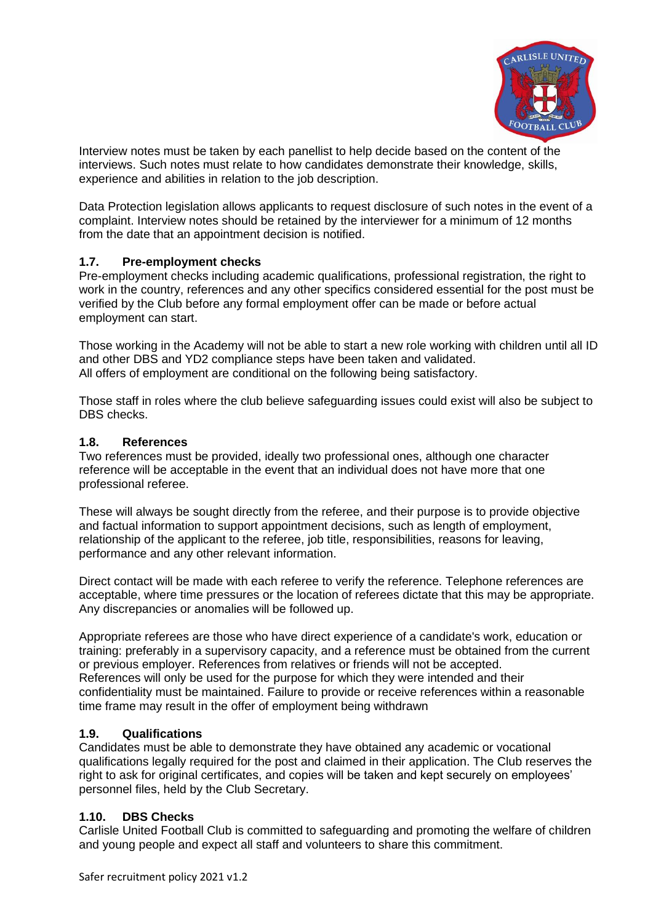

Interview notes must be taken by each panellist to help decide based on the content of the interviews. Such notes must relate to how candidates demonstrate their knowledge, skills, experience and abilities in relation to the job description.

Data Protection legislation allows applicants to request disclosure of such notes in the event of a complaint. Interview notes should be retained by the interviewer for a minimum of 12 months from the date that an appointment decision is notified.

# **1.7. Pre-employment checks**

Pre-employment checks including academic qualifications, professional registration, the right to work in the country, references and any other specifics considered essential for the post must be verified by the Club before any formal employment offer can be made or before actual employment can start.

Those working in the Academy will not be able to start a new role working with children until all ID and other DBS and YD2 compliance steps have been taken and validated. All offers of employment are conditional on the following being satisfactory.

Those staff in roles where the club believe safeguarding issues could exist will also be subject to DBS checks.

## **1.8. References**

Two references must be provided, ideally two professional ones, although one character reference will be acceptable in the event that an individual does not have more that one professional referee.

These will always be sought directly from the referee, and their purpose is to provide objective and factual information to support appointment decisions, such as length of employment, relationship of the applicant to the referee, job title, responsibilities, reasons for leaving, performance and any other relevant information.

Direct contact will be made with each referee to verify the reference. Telephone references are acceptable, where time pressures or the location of referees dictate that this may be appropriate. Any discrepancies or anomalies will be followed up.

Appropriate referees are those who have direct experience of a candidate's work, education or training: preferably in a supervisory capacity, and a reference must be obtained from the current or previous employer. References from relatives or friends will not be accepted. References will only be used for the purpose for which they were intended and their confidentiality must be maintained. Failure to provide or receive references within a reasonable time frame may result in the offer of employment being withdrawn

## **1.9. Qualifications**

Candidates must be able to demonstrate they have obtained any academic or vocational qualifications legally required for the post and claimed in their application. The Club reserves the right to ask for original certificates, and copies will be taken and kept securely on employees' personnel files, held by the Club Secretary.

## **1.10. DBS Checks**

Carlisle United Football Club is committed to safeguarding and promoting the welfare of children and young people and expect all staff and volunteers to share this commitment.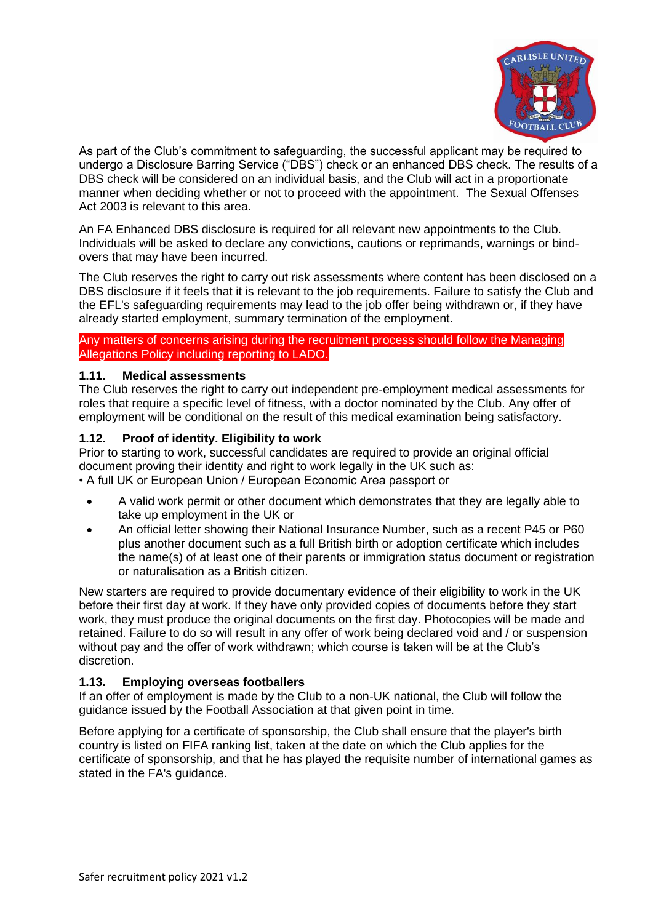

As part of the Club's commitment to safeguarding, the successful applicant may be required to undergo a Disclosure Barring Service ("DBS") check or an enhanced DBS check. The results of a DBS check will be considered on an individual basis, and the Club will act in a proportionate manner when deciding whether or not to proceed with the appointment. The Sexual Offenses Act 2003 is relevant to this area.

An FA Enhanced DBS disclosure is required for all relevant new appointments to the Club. Individuals will be asked to declare any convictions, cautions or reprimands, warnings or bindovers that may have been incurred.

The Club reserves the right to carry out risk assessments where content has been disclosed on a DBS disclosure if it feels that it is relevant to the job requirements. Failure to satisfy the Club and the EFL's safeguarding requirements may lead to the job offer being withdrawn or, if they have already started employment, summary termination of the employment.

Any matters of concerns arising during the recruitment process should follow the Managing Allegations Policy including reporting to LADO.

#### **1.11. Medical assessments**

The Club reserves the right to carry out independent pre-employment medical assessments for roles that require a specific level of fitness, with a doctor nominated by the Club. Any offer of employment will be conditional on the result of this medical examination being satisfactory.

#### **1.12. Proof of identity. Eligibility to work**

Prior to starting to work, successful candidates are required to provide an original official document proving their identity and right to work legally in the UK such as: • A full UK or European Union / European Economic Area passport or

- A valid work permit or other document which demonstrates that they are legally able to take up employment in the UK or
- An official letter showing their National Insurance Number, such as a recent P45 or P60 plus another document such as a full British birth or adoption certificate which includes the name(s) of at least one of their parents or immigration status document or registration or naturalisation as a British citizen.

New starters are required to provide documentary evidence of their eligibility to work in the UK before their first day at work. If they have only provided copies of documents before they start work, they must produce the original documents on the first day. Photocopies will be made and retained. Failure to do so will result in any offer of work being declared void and / or suspension without pay and the offer of work withdrawn; which course is taken will be at the Club's discretion.

## **1.13. Employing overseas footballers**

If an offer of employment is made by the Club to a non-UK national, the Club will follow the guidance issued by the Football Association at that given point in time.

Before applying for a certificate of sponsorship, the Club shall ensure that the player's birth country is listed on FIFA ranking list, taken at the date on which the Club applies for the certificate of sponsorship, and that he has played the requisite number of international games as stated in the FA's guidance.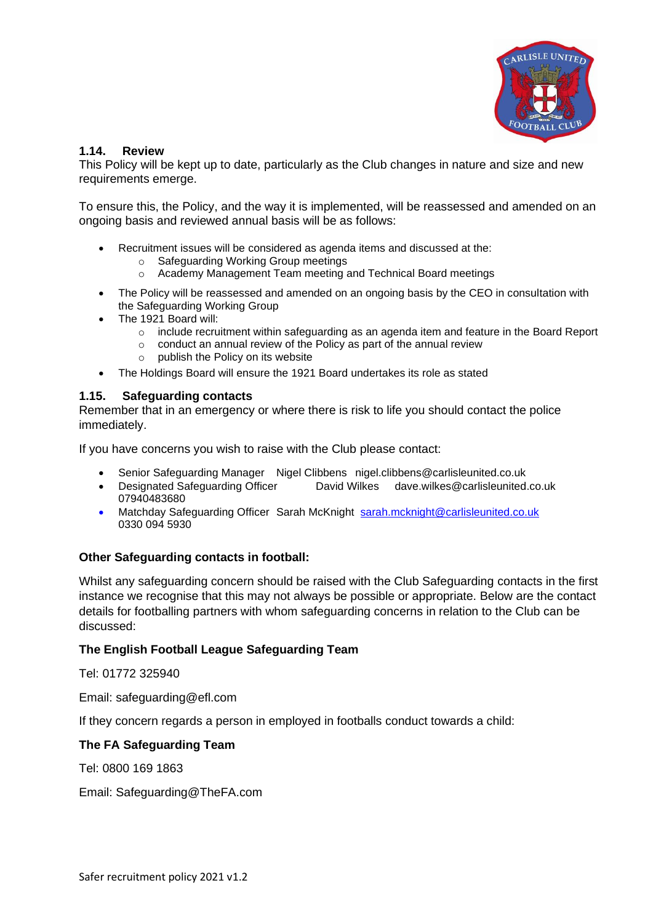

## **1.14. Review**

This Policy will be kept up to date, particularly as the Club changes in nature and size and new requirements emerge.

To ensure this, the Policy, and the way it is implemented, will be reassessed and amended on an ongoing basis and reviewed annual basis will be as follows:

- Recruitment issues will be considered as agenda items and discussed at the:
	- o Safeguarding Working Group meetings
	- o Academy Management Team meeting and Technical Board meetings
- The Policy will be reassessed and amended on an ongoing basis by the CEO in consultation with the Safeguarding Working Group
- The 1921 Board will:
	- $\circ$  include recruitment within safeguarding as an agenda item and feature in the Board Report
	- o conduct an annual review of the Policy as part of the annual review
	- o publish the Policy on its website
- The Holdings Board will ensure the 1921 Board undertakes its role as stated

#### **1.15. Safeguarding contacts**

Remember that in an emergency or where there is risk to life you should contact the police immediately.

If you have concerns you wish to raise with the Club please contact:

- Senior Safeguarding Manager Nigel Clibbens nigel.clibbens@carlisleunited.co.uk
- Designated Safeguarding Officer David Wilkes dave.wilkes@carlisleunited.co.uk 07940483680
- Matchday Safeguarding Officer Sarah McKnight [sarah.mcknight@carlisleunited.co.uk](mailto:sarah.mcknight@carlisleunited.co.uk) 0330 094 5930

## **Other Safeguarding contacts in football:**

Whilst any safeguarding concern should be raised with the Club Safeguarding contacts in the first instance we recognise that this may not always be possible or appropriate. Below are the contact details for footballing partners with whom safeguarding concerns in relation to the Club can be discussed:

## **The English Football League Safeguarding Team**

Tel: 01772 325940

Email: safeguarding@efl.com

If they concern regards a person in employed in footballs conduct towards a child:

## **The FA Safeguarding Team**

Tel: 0800 169 1863

Email: Safeguarding@TheFA.com